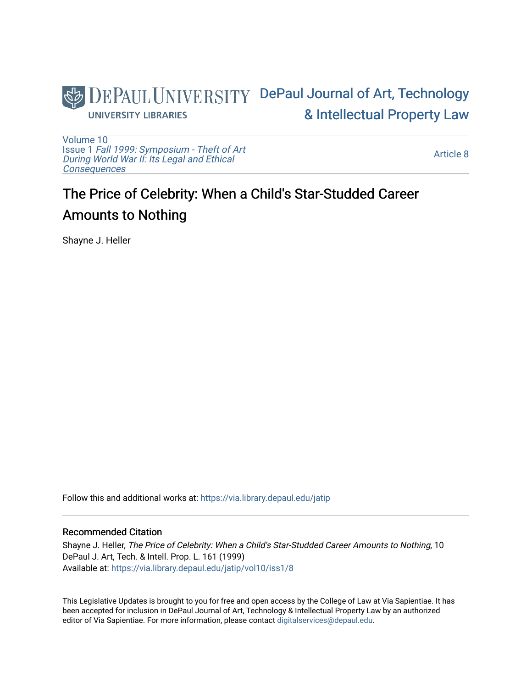

[Volume 10](https://via.library.depaul.edu/jatip/vol10) Issue 1 [Fall 1999: Symposium - Theft of Art](https://via.library.depaul.edu/jatip/vol10/iss1) [During World War II: Its Legal and Ethical](https://via.library.depaul.edu/jatip/vol10/iss1) **[Consequences](https://via.library.depaul.edu/jatip/vol10/iss1)** 

[Article 8](https://via.library.depaul.edu/jatip/vol10/iss1/8) 

# The Price of Celebrity: When a Child's Star-Studded Career Amounts to Nothing

Shayne J. Heller

Follow this and additional works at: [https://via.library.depaul.edu/jatip](https://via.library.depaul.edu/jatip?utm_source=via.library.depaul.edu%2Fjatip%2Fvol10%2Fiss1%2F8&utm_medium=PDF&utm_campaign=PDFCoverPages)

### Recommended Citation

Shayne J. Heller, The Price of Celebrity: When a Child's Star-Studded Career Amounts to Nothing, 10 DePaul J. Art, Tech. & Intell. Prop. L. 161 (1999) Available at: [https://via.library.depaul.edu/jatip/vol10/iss1/8](https://via.library.depaul.edu/jatip/vol10/iss1/8?utm_source=via.library.depaul.edu%2Fjatip%2Fvol10%2Fiss1%2F8&utm_medium=PDF&utm_campaign=PDFCoverPages) 

This Legislative Updates is brought to you for free and open access by the College of Law at Via Sapientiae. It has been accepted for inclusion in DePaul Journal of Art, Technology & Intellectual Property Law by an authorized editor of Via Sapientiae. For more information, please contact [digitalservices@depaul.edu](mailto:digitalservices@depaul.edu).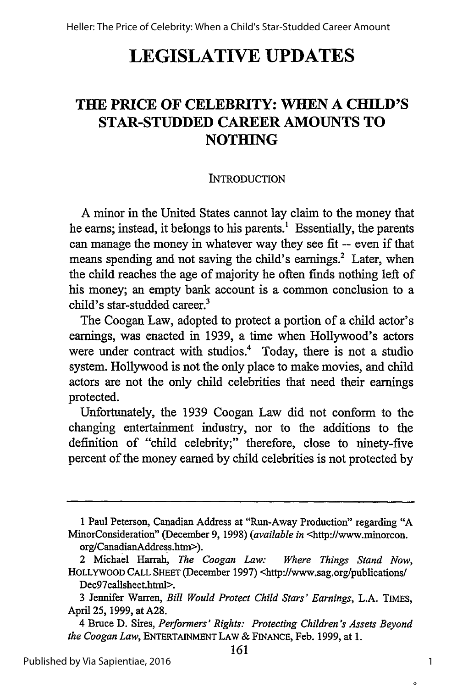# **LEGISLATIVE UPDATES**

# **THE PRICE OF CELEBRITY: WHEN A CHILD'S STAR-STUDDED CAREER AMOUNTS TO NOTHING**

#### INTRODUCTION

A minor in the United States cannot lay claim to the money that he earns; instead, it belongs to his parents.<sup>1</sup> Essentially, the parents can manage the money in whatever way they see fit -- even if that means spending and not saving the child's earnings.<sup>2</sup> Later, when the child reaches the age of majority he often finds nothing left of his money; an empty bank account is a common conclusion to a child's star-studded career.<sup>3</sup>

The Coogan Law, adopted to protect a portion of a child actor's earnings, was enacted in 1939, a time when Hollywood's actors were under contract with studios.<sup>4</sup> Today, there is not a studio system. Hollywood is not the only place to make movies, and child actors are not the only child celebrities that need their earnings protected.

Unfortunately, the 1939 Coogan Law did not conform to the changing entertainment industry, nor to the additions to the definition of "child celebrity;" therefore, close to ninety-five percent of the money earned by child celebrities is not protected by

 $\ddot{Q}$ 

<sup>1</sup> Paul Peterson, Canadian Address at "Run-Away Production" regarding "A MinorConsideration" (December 9, 1998) *(available in* <http://www.minorcon. org/CanadianAddress.htm>).

<sup>2</sup> Michael Harrah, *The Coogan Law: Where Things Stand Now,* HOLLYWOOD CALL SHEET (December 1997) <http://www.sag.org/publications/ Dec97callsheet.html>.

<sup>3</sup> Jennifer Warren, *Bill Would Protect Child Stars' Earnings,* L.A. TIMES, April 25, 1999, at A28.

<sup>4</sup> Bruce D. Sires, *Performers' Rights: Protecting Children's Assets Beyond the Coogan Law,* ENTERTAINMENT LAW & FINANCE, Feb. 1999, at 1.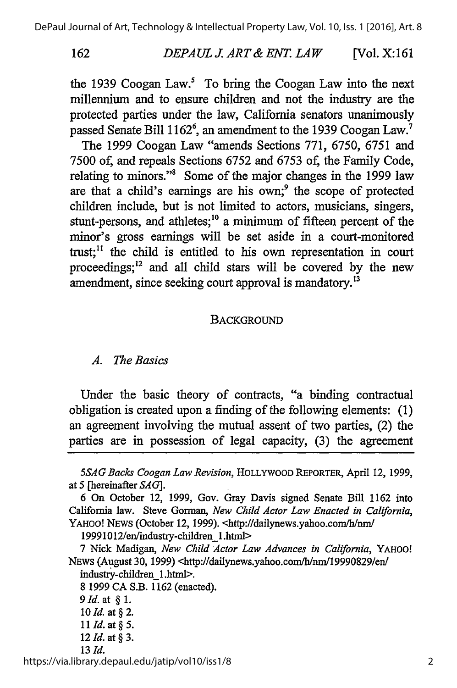162

#### *DEPAUL J ART & ENT. LAW* [Vol. X: **161**

the 1939 Coogan Law.<sup>5</sup> To bring the Coogan Law into the next millennium and to ensure children and not the industry are the protected parties under the law, California senators unanimously passed Senate Bill 1162<sup>6</sup>, an amendment to the 1939 Coogan Law.<sup>7</sup>

The 1999 Coogan Law "amends Sections 771, 6750, 6751 and 7500 of, and repeals Sections 6752 and 6753 of, the Family Code, relating to minors."8 Some of the major changes in the 1999 law are that a child's earnings are his own; $9$  the scope of protected children include, but is not limited to actors, musicians, singers, stunt-persons, and athletes;<sup>10</sup> a minimum of fifteen percent of the minor's gross earnings will be set aside in a court-monitored trust;<sup>11</sup> the child is entitled to his own representation in court proceedings; $^{12}$  and all child stars will be covered by the new amendment, since seeking court approval is mandatory.<sup>13</sup>

### **BACKGROUND**

#### *A. The Basics*

Under the basic theory of contracts, "a binding contractual obligation is created upon a finding of the following elements: (1) an agreement involving the mutual assent of two parties, (2) the parties are in possession of legal capacity, (3) the agreement

19991012/en/industry-children\_l.html>

7 Nick Madigan, *New Child Actor Law Advances in California,* YAHOO! NEWS (August 30, 1999) <http://dailynews.yahoo.com/b/nm/19990829/en/ industry-children\_1 .html>.

- **8** 1999 CA S.B. 1162 (enacted). *9Id.* at § 1. *10 Id.* at **§** 2. *11 Id.* at § *5.*
- 12 *Id.* at § 3. *13 Id.*

https://via.library.depaul.edu/jatip/vol10/iss1/8

*<sup>5</sup>SAG Backs Coogan Law Revision,* HOLLYWOOD REPORTER, April 12, 1999, at 5 [hereinafter *SAG].*

<sup>6</sup> On October 12, 1999, Gov. Gray Davis signed Senate Bill 1162 into California law. Steve Gorman, *New Child Actor Law Enacted in California,* YAHOO! NEWS (October 12, 1999). <http://dailynews.yahoo.com/h/nm/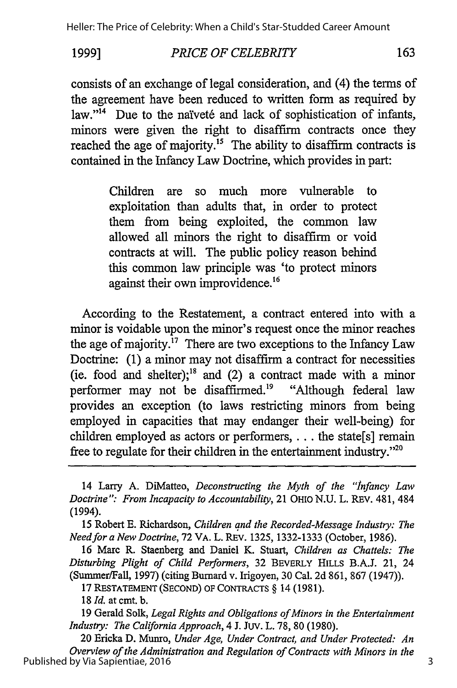#### **1999]** *PRICE OF CELEBRITY* 163

consists of an exchange of legal consideration, and (4) the terms of the agreement have been reduced to written form as required by law."<sup>14</sup> Due to the naïveté and lack of sophistication of infants, minors were given the right to disaffirm contracts once they reached the age of majority.<sup>15</sup> The ability to disaffirm contracts is contained in the Infancy Law Doctrine, which provides in part:

> Children are so much more vulnerable to exploitation than adults that, in order to protect them from being exploited, the common law allowed all minors the right to disaffirm or void contracts at will. The public policy reason behind this common law principle was 'to protect minors against their own improvidence.<sup>16</sup>

According to the Restatement, a contract entered into with a minor is voidable upon the minor's request once the minor reaches the age of majority.<sup>17</sup> There are two exceptions to the Infancy Law Doctrine: (1) a minor may not disaffirm a contract for necessities (ie. food and shelter);<sup>18</sup> and (2) a contract made with a minor performer may not be disaffirmed.<sup>19</sup> "Although federal law provides an exception (to laws restricting minors from being employed in capacities that may endanger their well-being) for children employed as actors or performers, **. . .** the state[s] remain free to regulate for their children in the entertainment industry."<sup>20</sup>

15 Robert E. Richardson, *Children* and *the Recorded-Message Industry: The Needfor a New Doctrine,* 72 VA. L. REV. 1325, 1332-1333 (October, 1986).

16 Marc R. Staenberg and Daniel K. Stuart, *Children as Chattels: The Disturbing Plight of Child Performers,* 32 BEVERLY HILLS B.A.J. 21, 24 (Summer/Fall, 1997) (citing Burnard v. Irigoyen, 30 Cal. 2d 861, 867 (1947)).

17 RESTATEMENT (SECOND) OF CONTRACTS § 14 (1981).

**18** *Id.* at cmt. **b.**

**19** Gerald Solk, *Legal Rights and Obligations of Minors in the Entertainment Industry: The California Approach,* 4 J. Juv. L. **78,** 80 (1980).

20 Ericka D. Munro, *Under Age, Under Contract, and Under Protected: An Overview of the Administration and Regulation of Contracts with Minors in the* Published by Via Sapientiae, 2016

<sup>14</sup> Larry A. DiMatteo, *Deconstructing the Myth of the "Infancy Law Doctrine": From Incapacity to Accountability,* 21 OHIo N.U. L. REV. 481, 484 (1994).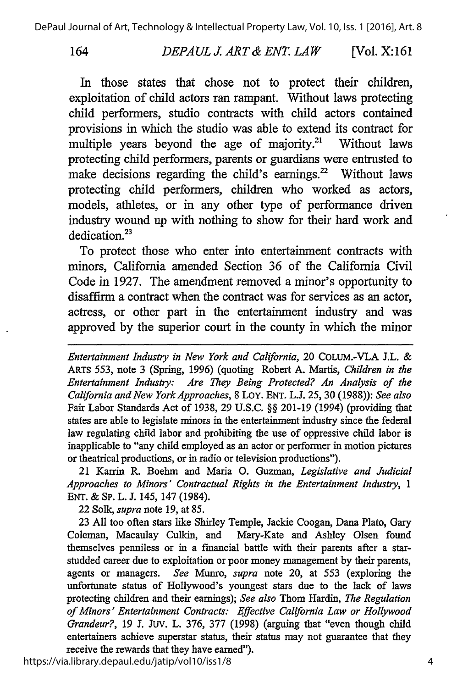# *DEPAUL J ART& ENT. LAW* 164 [Vol. X: **161**

In those states that chose not to protect their children, exploitation of child actors ran rampant. Without laws protecting child performers, studio contracts with child actors contained provisions in which the studio was able to extend its contract for multiple years beyond the age of majority.<sup>21</sup> Without laws protecting child performers, parents or guardians were entrusted to make decisions regarding the child's earnings.<sup>22</sup> Without laws protecting child performers, children who worked as actors, models, athletes, or in any other type of performance driven industry wound up with nothing to show for their hard work and dedication.<sup>23</sup>

To protect those who enter into entertainment contracts with minors, California amended Section 36 of the California Civil Code in 1927. The amendment removed a minor's opportunity to disaffirm a contract when the contract was for services as an actor, actress, or other part in the entertainment industry and was approved by the superior court in the county in which the minor

*Entertainment Industry in New York and California,* 20 COLUM.-VLA J.L. & ARTS 553, note 3 (Spring, 1996) (quoting Robert A. Martis, *Children in the Entertainment Industry: Are They Being Protected? An Analysis of the California and New York Approaches,* 8 Loy. ENT. L.J. *25,* 30 (1988)): *See also* Fair Labor Standards Act of 1938, 29 U.S.C. §§ 201-19 (1994) (providing that states are able to legislate minors in the entertainment industry since the federal law regulating child labor and prohibiting the use of oppressive child labor is inapplicable to "any child employed as an actor or performer in motion pictures or theatrical productions, or in radio or television productions").

21 Karrin R. Boehm and Maria **0.** Guzman, *Legislative and Judicial Approaches to Minors' Contractual Rights in the Entertainment Industry, 1* ENT. & **SP.** L. J. 145, 147 (1984).

22 Solk, *supra* note 19, at 85.

23 All too often stars like Shirley Temple, Jackie Coogan, Dana Plato, Gary Coleman, Macaulay Culkin, and Mary-Kate and Ashley Olsen found themselves penniless or in a financial battle with their parents after a starstudded career due to exploitation or poor money management by their parents, agents or managers. *See* Munro, *supra* note 20, at 553 (exploring the unfortunate status of Hollywood's youngest stars due to the lack of laws protecting children and their earnings); *See also* Thom Hardin, *The Regulation of Minors' Entertainment Contracts: Effective California Law or Hollywood Grandeur?,* 19 J. Juv. L. 376, 377 (1998) (arguing that "even though child entertainers achieve superstar status, their status may not guarantee that they receive the rewards that they have earned").

https://via.library.depaul.edu/jatip/vol10/iss1/8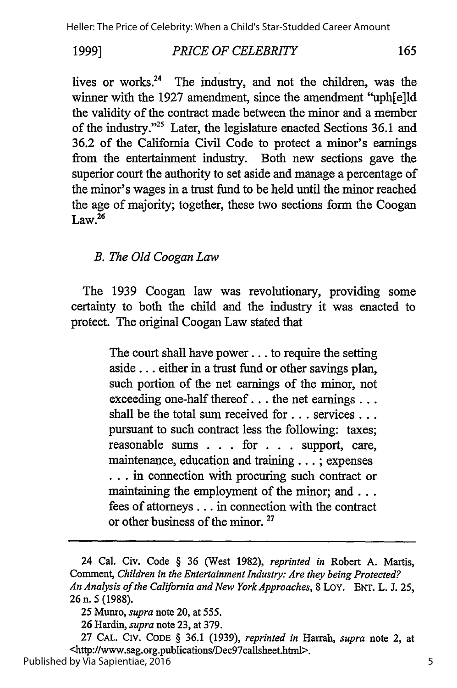#### **1999]** *PRICE OF CELEBRITY* 165

lives or works.<sup>24</sup> The industry, and not the children, was the winner with the 1927 amendment, since the amendment "uph[e]ld the validity of the contract made between the minor and a member of the industry."<sup>25</sup> Later, the legislature enacted Sections 36.1 and 36.2 of the California Civil Code to protect a minor's earnings from the entertainment industry. Both new sections gave the superior court the authority to set aside and manage a percentage of the minor's wages in a trust fund to be held until the minor reached the age of majority; together, these two sections form the Coogan  $Law<sup>26</sup>$ 

# *B. The Old Coogan Law*

The 1939 Coogan law was revolutionary, providing some certainty to both the child and the industry it was enacted to protect. The original Coogan Law stated that

> The court shall have power.., to require the setting aside... either in a trust fund or other savings plan, such portion of the net earnings of the minor, not exceeding one-half thereof **...** the net earnings... shall be the total sum received for **...** services... pursuant to such contract less the following: taxes; reasonable sums . **. .** for . **. .** support, care, maintenance, education and training... ; expenses **.** . in connection with procuring such contract or maintaining the employment of the minor; and ... fees of attorneys... in connection with the contract or other business of the minor. **<sup>27</sup>**

<sup>24</sup> Cal. Civ. Code § 36 (West 1982), *reprinted in* Robert A. Martis, Comment, *Children in the Entertainment Industry: Are they being Protected? An Analysis of the California and New York Approaches,* 8 LoY. ENT. L. J. 25, **26** n. **5 (1988).**

<sup>25</sup> Munro, *supra* note 20, at 555.

<sup>26</sup> Hardin, *supra* note 23, at 379.

<sup>27</sup> **CAL. CIV. CODE** § 36.1 (1939), *reprinted in* Harrah, *supra* note 2, at <http://www.sag.org.publications/Dec97callsheet.html>.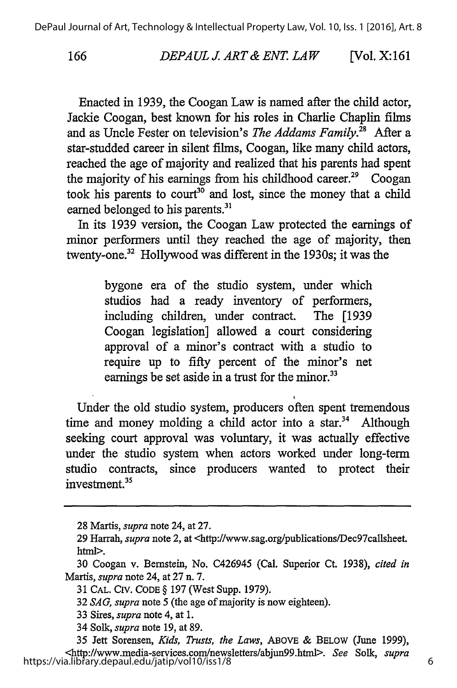# *DEPAUL J. ART& ENT. LAW* **166** [Vol. **X:** *161*

Enacted in 1939, the Coogan Law is named after the child actor, Jackie Coogan, best known for his roles in Charlie Chaplin films and as Uncle Fester on television's *The Addams Family."* After a star-studded career in silent films, Coogan, like many child actors, reached the age of majority and realized that his parents had spent the majority of his earnings from his childhood career.<sup>29</sup> Coogan took his parents to court<sup>30</sup> and lost, since the money that a child earned belonged to his parents.<sup>31</sup>

In its 1939 version, the Coogan Law protected the earnings of minor performers until they reached the age of majority, then twenty-one.32 Hollywood was different in the 1930s; it was the

> bygone era of the studio system, under which studios had a ready inventory of performers, including children, under contract. The [1939 Coogan legislation] allowed a court considering approval of a minor's contract with a studio to require up to fifty percent of the minor's net earnings be set aside in a trust for the minor.<sup>33</sup>

Under the old studio system, producers often spent tremendous time and money molding a child actor into a star.<sup>34</sup> Although seeking court approval was voluntary, it was actually effective under the studio system when actors worked under long-term studio contracts, since producers wanted to protect their investment.<sup>35</sup>

<sup>28</sup> Martis, *supra* note 24, at 27.

<sup>29</sup> Harrah, *supra* note 2, at <http://www.sag.org/publications/Dec97callsheet. html>.

<sup>30</sup> Coogan v. Bernstein, No. C426945 (Cal. Superior Ct. 1938), *cited in* Martis, *supra* note 24, at 27 n. 7.

<sup>31</sup> CAL. CIV. CODE § 197 (West Supp. 1979).

<sup>32</sup> *SAG, supra* note 5 (the age of majority is now eighteen).

<sup>33</sup> Sires, *supra* note 4, at 1.

<sup>34</sup> Solk, *supra* note 19, at 89.

<sup>35</sup> Jett Sorensen, *Kids, Trusts, the Laws,* ABOVE & BELOW (June 1999), <http://www.media-services.com/newsletters/abjun99.htrnl>. *See* Solk, *supra* https://via.library.depaul.edu/jatip/vol10/iss1/8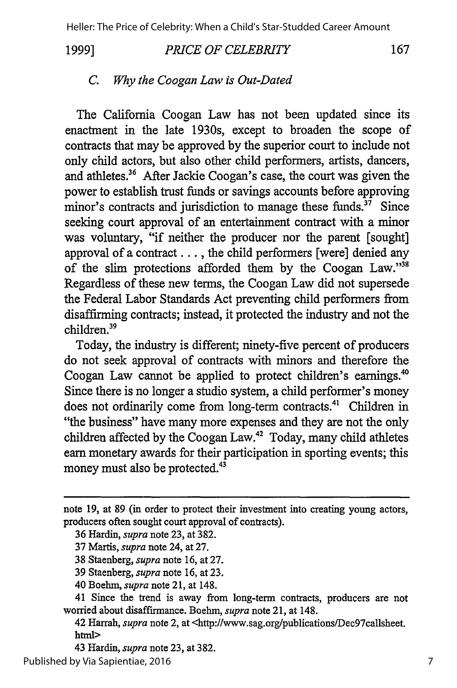**1999]**

#### *PRICE OF CELEBRITY*

167

### *C. Why the Coogan Law is Out-Dated*

The California Coogan Law has not been updated since its enactment in the late 1930s, except to broaden the scope of contracts that may be approved by the superior court to include not only child actors, but also other child performers, artists, dancers, and athletes.<sup>36</sup> After Jackie Coogan's case, the court was given the power to establish trust funds or savings accounts before approving minor's contracts and jurisdiction to manage these funds.<sup>37</sup> Since seeking court approval of an entertainment contract with a minor was voluntary, "if neither the producer nor the parent [sought] approval of a contract..., the child performers [were] denied any of the slim protections afforded them by the Coogan Law."38 Regardless of these new terms, the Coogan Law did not supersede the Federal Labor Standards Act preventing child performers from disaffirming contracts; instead, it protected the industry and not the children.39

Today, the industry is different; ninety-five percent of producers do not seek approval of contracts with minors and therefore the Coogan Law cannot be applied to protect children's earnings. Since there is no longer a studio system, a child performer's money does not ordinarily come from long-term contracts.<sup>41</sup> Children in "the business" have many more expenses and they are not the only children affected by the Coogan Law.42 Today, many child athletes earn monetary awards for their participation in sporting events; this money must also be protected.<sup>43</sup>

note 19, at 89 (in order to protect their investment into creating young actors, producers often sought court approval of contracts).

<sup>36</sup> Hardin, *supra* note 23, at 382.

<sup>37</sup> Martis, *supra* note 24, at 27.

<sup>38</sup> Staenberg, *supra* note 16, at 27.

<sup>39</sup> Staenberg, *supra* note 16, at 23.

<sup>40</sup> Boehm, *supra* note 21, at 148.

<sup>41</sup> Since the trend is away from long-term contracts, producers are not worried about disaffirmance. Boehm, *supra* note 21, at 148.

<sup>42</sup> Harrah, *supra* note 2, at <http://www.sag.org/publications/Dec97callsheet. html>

<sup>43</sup> Hardin, *supra* note 23, at 382.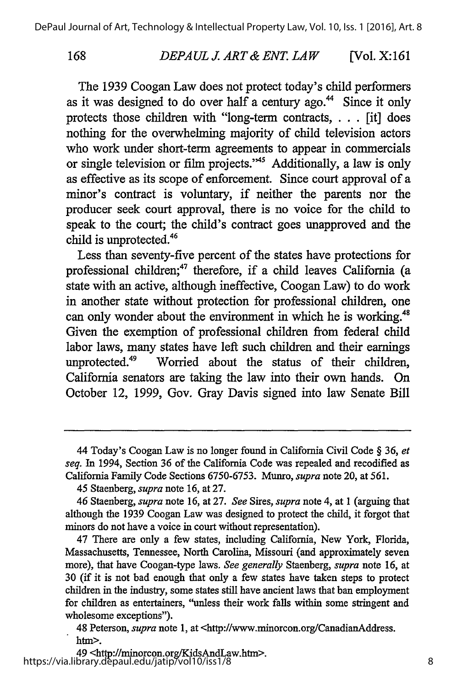168

#### *DEPAUL J ART& ENT. LAW* [Vol. X: **161**

The 1939 Coogan Law does not protect today's child performers as it was designed to do over half a century ago.<sup>44</sup> Since it only protects those children with "long-term contracts, . **. .**[it] does nothing for the overwhelming majority of child television actors who work under short-term agreements to appear in commercials or single television or film projects."<sup>45</sup> Additionally, a law is only as effective as its scope of enforcement. Since court approval of a minor's contract is voluntary, if neither the parents nor the producer seek court approval, there is no voice for the child to speak to the court; the child's contract goes unapproved and the child is unprotected.<sup>46</sup>

Less than seventy-five percent of the states have protections for professional children;<sup>47</sup> therefore, if a child leaves California (a state with an active, although ineffective, Coogan Law) to do work in another state without protection for professional children, one can only wonder about the environment in which he is working.<sup>48</sup> Given the exemption of professional children from federal child labor laws, many states have left such children and their earnings unprotected.49 Worried about the status of their children, California senators are taking the law into their own hands. On October 12, 1999, Gov. Gray Davis signed into law Senate Bill

<sup>44</sup> Today's Coogan Law is no longer found in California Civil Code § *36, et seq.* In 1994, Section 36 of the California Code was repealed and recodified as California Family Code Sections 6750-6753. Munro, *supra* note 20, at 561.

<sup>45</sup> Staenberg, *supra* note 16, at 27.

<sup>46</sup> Staenberg, *supra* note **16,** at 27. *See* Sires, *supra* note 4, at 1 (arguing that although the 1939 Coogan Law was designed to protect the child, it forgot that minors do not have a voice in court without representation).

<sup>47</sup> There are only a few states, including California, New York, Florida, Massachusetts, Tennessee, North Carolina, Missouri (and approximately seven more), that have Coogan-type laws. *See generally* Staenberg, *supra* note 16, at 30 (if it is not bad enough that only a few states have taken steps to protect children in the industry, some states still have ancient laws that ban employment for children as entertainers, "unless their work falls within some stringent and wholesome exceptions").

<sup>48</sup> Peterson, *supra* note 1, at <http://www.ninorcon.org/CanadianAddress. htm>.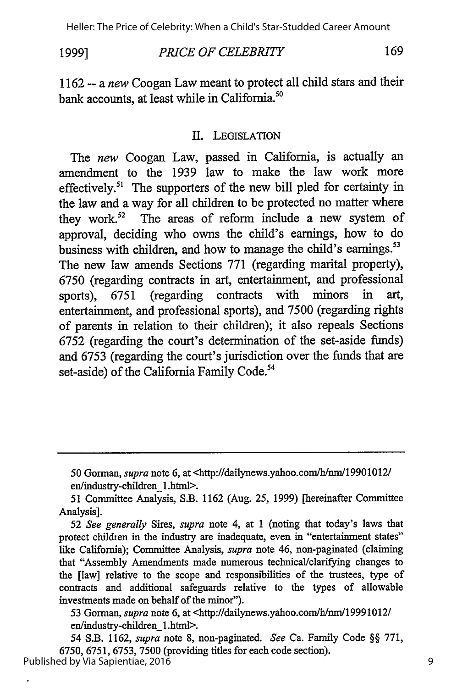**1999]**

169 *PRICE OF CELEBRITY*

1162 -- a *new* Coogan Law meant to protect all child stars and their bank accounts, at least while in California.<sup>50</sup>

### I. LEGISLATION

The *new* Coogan Law, passed in California, is actually an amendment to the 1939 law to make the law work more effectively.<sup>51</sup> The supporters of the new bill pled for certainty in the law and a way for all children to be protected no matter where they work.<sup>52</sup> The areas of reform include a new system of approval, deciding who owns the child's earnings, how to do business with children, and how to manage the child's earnings.<sup>53</sup> The new law amends Sections 771 (regarding marital property), 6750 (regarding contracts in art, entertainment, and professional sports), 6751 (regarding contracts with minors in art, entertainment, and professional sports), and 7500 (regarding rights of parents in relation to their children); it also repeals Sections 6752 (regarding the court's determination of the set-aside funds) and 6753 (regarding the court's jurisdiction over the funds that are set-aside) of the California Family Code.<sup>54</sup>

53 Gorman, *supra* note 6, at <http://dailynews.yahoo.com/h/nm/19991012/ en/industry-children\_1 .html>.

54 S.B. 1162, *supra* note 8, non-paginated. *See* Ca. Family Code §§ 771, 6750, 6751, 6753, 7500 (providing titles for each code section). Published by Via Sapientiae, 2016

<sup>50</sup> Gorman, *supra* note 6, at <http://dailynews.yahoo.com/h/mn/19901012/

en/industry-children\_l.html>.

<sup>51</sup> Committee Analysis, S.B. 1162 (Aug. 25, 1999) [hereinafter Committee Analysis].

<sup>52</sup> See *generally* Sires, *supra* note 4, at 1 (noting that today's laws that protect children in the industry are inadequate, even in "entertainment states" like California); Committee Analysis, *supra* note 46, non-paginated (claiming that "Assembly Amendments made numerous technical/clarifying changes to the [law] relative to the scope and responsibilities of the trustees, type of contracts and additional safeguards relative to the types of allowable investments made on behalf of the minor").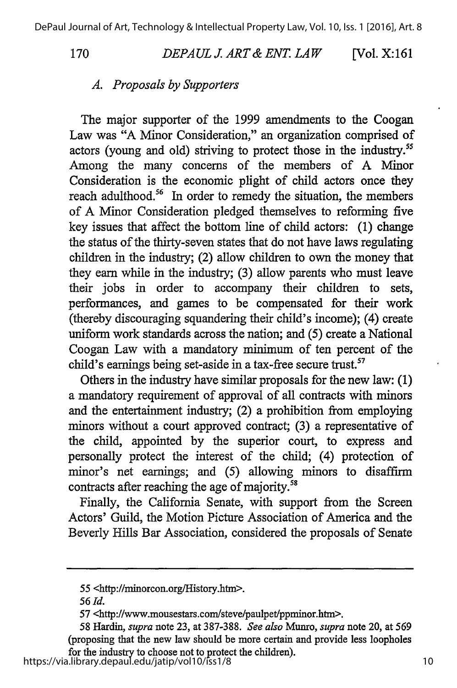*DEPA UL J ART & ENT. LAW* **170** [Vol. X:161

# *A. Proposals by Supporters*

The major supporter of the 1999 amendments to the Coogan Law was "A Minor Consideration," an organization comprised of actors (young and old) striving to protect those in the industry."5 Among the many concerns of the members of A Minor Consideration is the economic plight of child actors once they reach adulthood.<sup>56</sup> In order to remedy the situation, the members of A Minor Consideration pledged themselves to reforming five key issues that affect the bottom line of child actors: (1) change the status of the thirty-seven states that do not have laws regulating children in the industry; (2) allow children to own the money that they earn while in the industry; (3) allow parents who must leave their jobs in order to accompany their children to sets, performances, and games to be compensated for their work (thereby discouraging squandering their child's income); (4) create uniform work standards across the nation; and (5) create a National Coogan Law with a mandatory minimum of ten percent of the child's earnings being set-aside in a tax-free secure trust.<sup>57</sup>

Others in the industry have similar proposals for the new law: (1) a mandatory requirement of approval of all contracts with minors and the entertainment industry; (2) a prohibition from employing minors without a court approved contract; (3) a representative of the child, appointed by the superior court, to express and personally protect the interest of the child; (4) protection of minor's net earnings; and (5) allowing minors to disaffirm contracts after reaching the age of majority.<sup>58</sup>

Finally, the California Senate, with support from the Screen Actors' Guild, the Motion Picture Association of America and the Beverly Hills Bar Association, considered the proposals of Senate

https://via.library.depaul.edu/jatip/vol10/iss1/8

<sup>55 &</sup>lt;http://minorcon.org/History.htm>.

*<sup>56</sup> Id.*

<sup>57 &</sup>lt;http://www.mousestars.com/steve/paulpet/ppminor.htm>.

<sup>58</sup> Hardin, *supra* note 23, at 387-388. *See also* Munro, *supra* note 20, at 569 (proposing that the new law should be more certain and provide less loopholes for the industry to choose not to protect the children).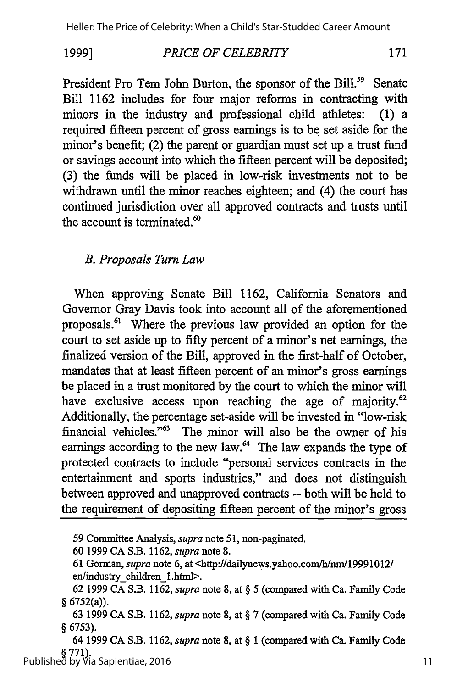#### **1999]** *PRICE OF CELEBRITY* 171

President Pro Tem John Burton, the sponsor of the Bill.<sup>59</sup> Senate Bill 1162 includes for four major reforms in contracting with minors in the industry and professional child athletes: (1) a required fifteen percent of gross earnings is to be set aside for the minor's benefit; (2) the parent or guardian must set up a trust fund or savings account into which the fifteen percent will be deposited; (3) the funds will be placed in low-risk investments not to be withdrawn until the minor reaches eighteen; and (4) the court has continued jurisdiction over all approved contracts and trusts until the account is terminated.<sup>60</sup>

# *B. Proposals Turn Law*

When approving Senate Bill 1162, California Senators and Governor Gray Davis took into account all of the aforementioned proposals.<sup>61</sup> Where the previous law provided an option for the court to set aside up to fifty percent of a minor's net earnings, the finalized version of the Bill, approved in the first-half of October, mandates that at least fifteen percent of an minor's gross earnings be placed in a trust monitored by the court to which the minor will have exclusive access upon reaching the age of majority.<sup>62</sup> Additionally, the percentage set-aside will be invested in "low-risk financial vehicles."<sup>63</sup> The minor will also be the owner of his earnings according to the new law.<sup>64</sup> The law expands the type of protected contracts to include "personal services contracts in the entertainment and sports industries," and does not distinguish between approved and unapproved contracts -- both will be held to the requirement of depositing fifteen percent of the minor's gross

64 1999 CA S.B. 1162, *supra* note 8, at § 1 (compared with Ca. Family Code **§ 771).** Published by Via Sapientiae, 2016

<sup>59</sup> Committee Analysis, *supra* note 51, non-paginated.

<sup>60 1999</sup> CA S.B. 1162, *supra* note 8.

<sup>61</sup> Gorman, *supra* note 6, at <http://dailynews.yahoo.com/h/nm/19991012/ en/industry children\_1 .html>.

<sup>62 1999</sup> CA S.B. 1162, *supra* note 8, at § 5 (compared with Ca. Family Code § 6752(a)).

<sup>63 1999</sup> CA S.B. 1162, *supra* note 8, at § 7 (compared with Ca. Family Code § 6753).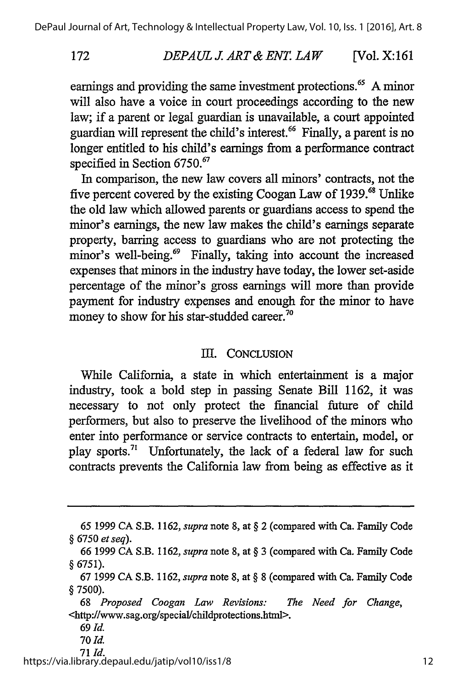#### *DEPAUL J. ART & ENT LAW* [Vol. X: *161*

earnings and providing the same investment protections.<sup>65</sup> A minor will also have a voice in court proceedings according to the new law; if a parent or legal guardian is unavailable, a court appointed guardian will represent the child's interest.<sup>66</sup> Finally, a parent is no longer entitled to his child's earnings from a performance contract specified in Section 6750.<sup>67</sup>

In comparison, the new law covers all minors' contracts, not the five percent covered by the existing Coogan Law of **1939.** Unlike the old law which allowed parents or guardians access to spend the minor's earnings, the new law makes the child's earnings separate property, barring access to guardians who are not protecting the minor's well-being.<sup>69</sup> Finally, taking into account the increased expenses that minors in the industry have today, the lower set-aside percentage of the minor's gross earnings will more than provide payment for industry expenses and enough for the minor to have money to show for his star-studded career. $7$ 

### III. CONCLUSION

While California, a state in which entertainment is a major industry, took a bold step in passing Senate Bill 1162, it was necessary to not only protect the financial future of child performers, but also to preserve the livelihood of the minors who enter into performance or service contracts to entertain, model, or play sports.<sup>71</sup> Unfortunately, the lack of a federal law for such contracts prevents the California law from being as effective as it

*69 Id.*

172

**70** *Id.*

**71** *Id.* https://via.library.depaul.edu/jatip/vol10/iss1/8

<sup>65 1999</sup> CA S.B. 1162, *supra* note 8, at § 2 (compared with Ca. Family Code § 6750 *et seq).*

<sup>66 1999</sup> CA S.B. 1162, *supra* note 8, at § 3 (compared with Ca. Family Code § 6751).

<sup>67 1999</sup> CA S.B. 1162, *supra* note 8, at § 8 (compared with Ca. Family Code § 7500).

<sup>68</sup> *Proposed Coogan Law Revisions: The Need for Change,* <http://www.sag.org/special/childprotections.htnil>.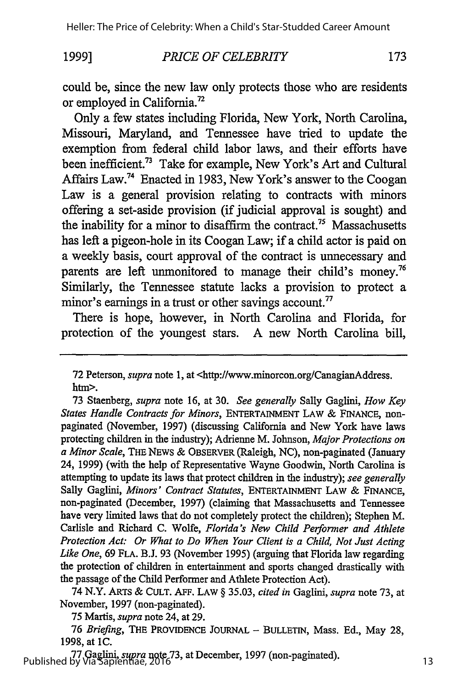### **1999]**

### *PRICE OF CELEBRITY*

173

could be, since the new law only protects those who are residents or employed in California.72

Only a few states including Florida, New York, North Carolina, Missouri, Maryland, and Tennessee have tried to update the exemption from federal child labor laws, and their efforts have been inefficient.<sup>73</sup> Take for example, New York's Art and Cultural Affairs Law.74 Enacted in 1983, New York's answer to the Coogan Law is a general provision relating to contracts with minors offering a set-aside provision (if judicial approval is sought) and the inability for a minor to disaffirm the contract.<sup>75</sup> Massachusetts has left a pigeon-hole in its Coogan Law; if a child actor is paid on a weekly basis, court approval of the contract is unnecessary and parents are left unmonitored to manage their child's money.<sup>76</sup> Similarly, the Tennessee statute lacks a provision to protect a minor's earnings in a trust or other savings account.<sup>77</sup>

There is hope, however, in North Carolina and Florida, for protection of the youngest stars. A new North Carolina bill,

72 Peterson, *supra* note 1, at <http://www.minorcon.org/CanagianAddress. htm>.

73 Staenberg, *supra* note 16, at 30. *See generally* Sally Gaglini, *How Key States Handle Contracts for Minors,* ENTERTAINMENT LAW & FINANCE, nonpaginated (November, 1997) (discussing California and New York have laws protecting children in the industry); Adrienne M. Johnson, *Major Protections on a Minor Scale,* THE NEWS & OBSERVER (Raleigh, NC), non-paginated (January 24, 1999) (with the help of Representative Wayne Goodwin, North Carolina is attempting to update its laws that protect children in the industry); *see generally* Sally Gaglini, *Minors' Contract Statutes,* ENTERTAINMENT LAW & FINANCE, non-paginated (December, 1997) (claiming that Massachusetts and Tennessee have very limited laws that do not completely protect the children); Stephen M. Carlisle and Richard C. Wolfe, *Florida's New Child Performer and Athlete Protection Act: Or What to Do When Your Client is a Child, Not Just Acting Like One,* 69 **FLA.** B.J. 93 (November 1995) (arguing that Florida law regarding the protection of children in entertainment and sports changed drastically with the passage of the Child Performer and Athlete Protection Act).

74 N.Y. ARTS & CULT. AFF. LAW § 35.03, *cited in* Gaglini, *supra* note 73, at November, 1997 (non-paginated).

*75* Martis, *supra* note 24, at 29.

76 Briefing, THE PROVIDENCE JOURNAL - BULLETIN, Mass. Ed., May 28, 1998, at **1C.**

**77** Gaglini, *supra* note **73,** at December, 1997 (non-paginated). Published by Via Sapientiae, 2016